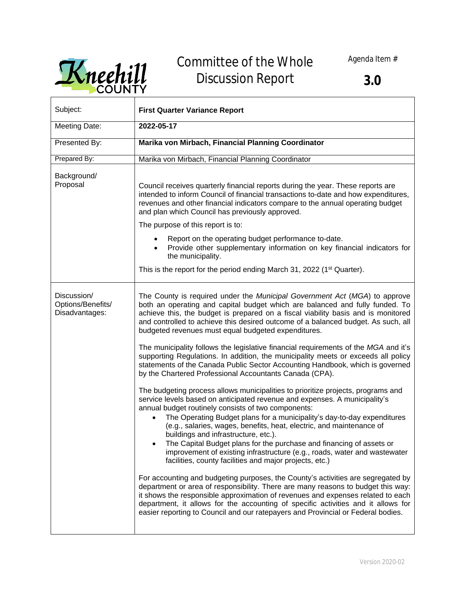Agenda Item #



## Committee of the Whole Discussion Report

| Subject:                                           | <b>First Quarter Variance Report</b>                                                                                                                                                                                                                                                                                                                                                                                                                                                                                                                                                                                                                                                                                                                                                                                                                                                                                                                                                                                                                                                                                                                                                                                                                                                                                                                                                                                                                                                                                                                                                                                                                                                                                                                                                        |
|----------------------------------------------------|---------------------------------------------------------------------------------------------------------------------------------------------------------------------------------------------------------------------------------------------------------------------------------------------------------------------------------------------------------------------------------------------------------------------------------------------------------------------------------------------------------------------------------------------------------------------------------------------------------------------------------------------------------------------------------------------------------------------------------------------------------------------------------------------------------------------------------------------------------------------------------------------------------------------------------------------------------------------------------------------------------------------------------------------------------------------------------------------------------------------------------------------------------------------------------------------------------------------------------------------------------------------------------------------------------------------------------------------------------------------------------------------------------------------------------------------------------------------------------------------------------------------------------------------------------------------------------------------------------------------------------------------------------------------------------------------------------------------------------------------------------------------------------------------|
| Meeting Date:                                      | 2022-05-17                                                                                                                                                                                                                                                                                                                                                                                                                                                                                                                                                                                                                                                                                                                                                                                                                                                                                                                                                                                                                                                                                                                                                                                                                                                                                                                                                                                                                                                                                                                                                                                                                                                                                                                                                                                  |
|                                                    |                                                                                                                                                                                                                                                                                                                                                                                                                                                                                                                                                                                                                                                                                                                                                                                                                                                                                                                                                                                                                                                                                                                                                                                                                                                                                                                                                                                                                                                                                                                                                                                                                                                                                                                                                                                             |
| Presented By:                                      | Marika von Mirbach, Financial Planning Coordinator                                                                                                                                                                                                                                                                                                                                                                                                                                                                                                                                                                                                                                                                                                                                                                                                                                                                                                                                                                                                                                                                                                                                                                                                                                                                                                                                                                                                                                                                                                                                                                                                                                                                                                                                          |
| Prepared By:                                       | Marika von Mirbach, Financial Planning Coordinator                                                                                                                                                                                                                                                                                                                                                                                                                                                                                                                                                                                                                                                                                                                                                                                                                                                                                                                                                                                                                                                                                                                                                                                                                                                                                                                                                                                                                                                                                                                                                                                                                                                                                                                                          |
| Background/<br>Proposal                            | Council receives quarterly financial reports during the year. These reports are<br>intended to inform Council of financial transactions to-date and how expenditures,<br>revenues and other financial indicators compare to the annual operating budget<br>and plan which Council has previously approved.<br>The purpose of this report is to:<br>Report on the operating budget performance to-date.<br>Provide other supplementary information on key financial indicators for<br>the municipality.<br>This is the report for the period ending March 31, 2022 (1 <sup>st</sup> Quarter).                                                                                                                                                                                                                                                                                                                                                                                                                                                                                                                                                                                                                                                                                                                                                                                                                                                                                                                                                                                                                                                                                                                                                                                                |
|                                                    |                                                                                                                                                                                                                                                                                                                                                                                                                                                                                                                                                                                                                                                                                                                                                                                                                                                                                                                                                                                                                                                                                                                                                                                                                                                                                                                                                                                                                                                                                                                                                                                                                                                                                                                                                                                             |
| Discussion/<br>Options/Benefits/<br>Disadvantages: | The County is required under the Municipal Government Act (MGA) to approve<br>both an operating and capital budget which are balanced and fully funded. To<br>achieve this, the budget is prepared on a fiscal viability basis and is monitored<br>and controlled to achieve this desired outcome of a balanced budget. As such, all<br>budgeted revenues must equal budgeted expenditures.<br>The municipality follows the legislative financial requirements of the MGA and it's<br>supporting Regulations. In addition, the municipality meets or exceeds all policy<br>statements of the Canada Public Sector Accounting Handbook, which is governed<br>by the Chartered Professional Accountants Canada (CPA).<br>The budgeting process allows municipalities to prioritize projects, programs and<br>service levels based on anticipated revenue and expenses. A municipality's<br>annual budget routinely consists of two components:<br>The Operating Budget plans for a municipality's day-to-day expenditures<br>(e.g., salaries, wages, benefits, heat, electric, and maintenance of<br>buildings and infrastructure, etc.).<br>The Capital Budget plans for the purchase and financing of assets or<br>improvement of existing infrastructure (e.g., roads, water and wastewater<br>facilities, county facilities and major projects, etc.)<br>For accounting and budgeting purposes, the County's activities are segregated by<br>department or area of responsibility. There are many reasons to budget this way:<br>it shows the responsible approximation of revenues and expenses related to each<br>department, it allows for the accounting of specific activities and it allows for<br>easier reporting to Council and our ratepayers and Provincial or Federal bodies. |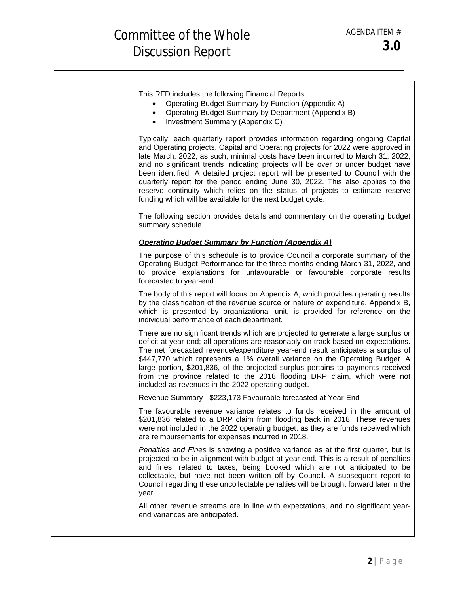| This RFD includes the following Financial Reports:<br>Operating Budget Summary by Function (Appendix A)<br>• Operating Budget Summary by Department (Appendix B)<br>• Investment Summary (Appendix C)                                                                                                                                                                                                                                                                                                                                                                                                                                                         |
|---------------------------------------------------------------------------------------------------------------------------------------------------------------------------------------------------------------------------------------------------------------------------------------------------------------------------------------------------------------------------------------------------------------------------------------------------------------------------------------------------------------------------------------------------------------------------------------------------------------------------------------------------------------|
| Typically, each quarterly report provides information regarding ongoing Capital<br>and Operating projects. Capital and Operating projects for 2022 were approved in<br>late March, 2022; as such, minimal costs have been incurred to March 31, 2022,<br>and no significant trends indicating projects will be over or under budget have<br>been identified. A detailed project report will be presented to Council with the<br>quarterly report for the period ending June 30, 2022. This also applies to the<br>reserve continuity which relies on the status of projects to estimate reserve<br>funding which will be available for the next budget cycle. |
| The following section provides details and commentary on the operating budget<br>summary schedule.                                                                                                                                                                                                                                                                                                                                                                                                                                                                                                                                                            |
| <b>Operating Budget Summary by Function (Appendix A)</b>                                                                                                                                                                                                                                                                                                                                                                                                                                                                                                                                                                                                      |
| The purpose of this schedule is to provide Council a corporate summary of the<br>Operating Budget Performance for the three months ending March 31, 2022, and<br>to provide explanations for unfavourable or favourable corporate results<br>forecasted to year-end.                                                                                                                                                                                                                                                                                                                                                                                          |
| The body of this report will focus on Appendix A, which provides operating results<br>by the classification of the revenue source or nature of expenditure. Appendix B,<br>which is presented by organizational unit, is provided for reference on the<br>individual performance of each department.                                                                                                                                                                                                                                                                                                                                                          |
| There are no significant trends which are projected to generate a large surplus or<br>deficit at year-end; all operations are reasonably on track based on expectations.<br>The net forecasted revenue/expenditure year-end result anticipates a surplus of<br>\$447,770 which represents a 1% overall variance on the Operating Budget. A<br>large portion, \$201,836, of the projected surplus pertains to payments received<br>from the province related to the 2018 flooding DRP claim, which were not<br>included as revenues in the 2022 operating budget.                                                                                              |
| Revenue Summary - \$223,173 Favourable forecasted at Year-End                                                                                                                                                                                                                                                                                                                                                                                                                                                                                                                                                                                                 |
| The favourable revenue variance relates to funds received in the amount of<br>\$201,836 related to a DRP claim from flooding back in 2018. These revenues<br>were not included in the 2022 operating budget, as they are funds received which<br>are reimbursements for expenses incurred in 2018.                                                                                                                                                                                                                                                                                                                                                            |
| Penalties and Fines is showing a positive variance as at the first quarter, but is<br>projected to be in alignment with budget at year-end. This is a result of penalties<br>and fines, related to taxes, being booked which are not anticipated to be<br>collectable, but have not been written off by Council. A subsequent report to<br>Council regarding these uncollectable penalties will be brought forward later in the<br>year.                                                                                                                                                                                                                      |
| All other revenue streams are in line with expectations, and no significant year-<br>end variances are anticipated.                                                                                                                                                                                                                                                                                                                                                                                                                                                                                                                                           |
|                                                                                                                                                                                                                                                                                                                                                                                                                                                                                                                                                                                                                                                               |